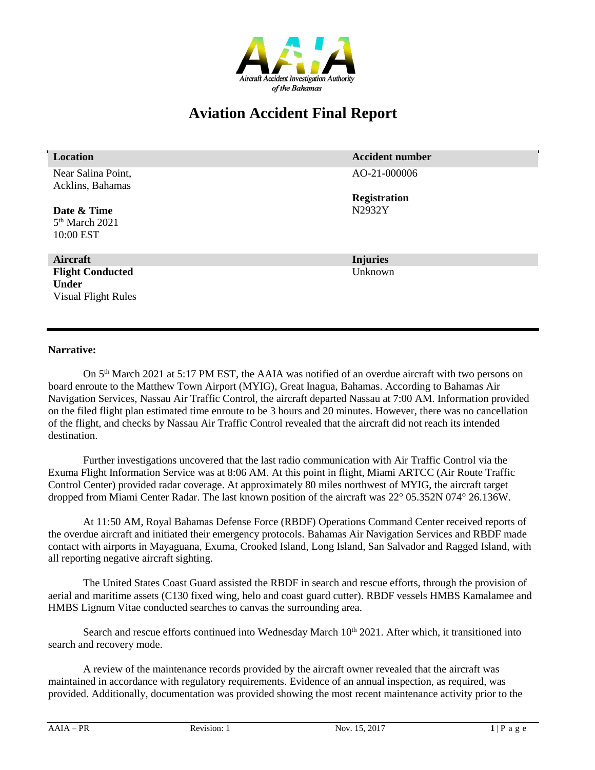

# **Aviation Accident Final Report**

| <b>Location</b>            | <b>Accident number</b> |
|----------------------------|------------------------|
| Near Salina Point,         | AO-21-000006           |
| Acklins, Bahamas           |                        |
|                            | <b>Registration</b>    |
| Date & Time                | N2932Y                 |
| 5 <sup>th</sup> March 2021 |                        |
| 10:00 EST                  |                        |
|                            |                        |
| Aircraft                   | <b>Injuries</b>        |
| <b>Flight Conducted</b>    | Unknown                |
| <b>Under</b>               |                        |
| <b>Visual Flight Rules</b> |                        |
|                            |                        |
|                            |                        |
|                            |                        |

### **Narrative:**

On 5<sup>th</sup> March 2021 at 5:17 PM EST, the AAIA was notified of an overdue aircraft with two persons on board enroute to the Matthew Town Airport (MYIG), Great Inagua, Bahamas. According to Bahamas Air Navigation Services, Nassau Air Traffic Control, the aircraft departed Nassau at 7:00 AM. Information provided on the filed flight plan estimated time enroute to be 3 hours and 20 minutes. However, there was no cancellation of the flight, and checks by Nassau Air Traffic Control revealed that the aircraft did not reach its intended destination.

Further investigations uncovered that the last radio communication with Air Traffic Control via the Exuma Flight Information Service was at 8:06 AM. At this point in flight, Miami ARTCC (Air Route Traffic Control Center) provided radar coverage. At approximately 80 miles northwest of MYIG, the aircraft target dropped from Miami Center Radar. The last known position of the aircraft was 22° 05.352N 074° 26.136W.

At 11:50 AM, Royal Bahamas Defense Force (RBDF) Operations Command Center received reports of the overdue aircraft and initiated their emergency protocols. Bahamas Air Navigation Services and RBDF made contact with airports in Mayaguana, Exuma, Crooked Island, Long Island, San Salvador and Ragged Island, with all reporting negative aircraft sighting.

The United States Coast Guard assisted the RBDF in search and rescue efforts, through the provision of aerial and maritime assets (C130 fixed wing, helo and coast guard cutter). RBDF vessels HMBS Kamalamee and HMBS Lignum Vitae conducted searches to canvas the surrounding area.

Search and rescue efforts continued into Wednesday March  $10<sup>th</sup> 2021$ . After which, it transitioned into search and recovery mode.

A review of the maintenance records provided by the aircraft owner revealed that the aircraft was maintained in accordance with regulatory requirements. Evidence of an annual inspection, as required, was provided. Additionally, documentation was provided showing the most recent maintenance activity prior to the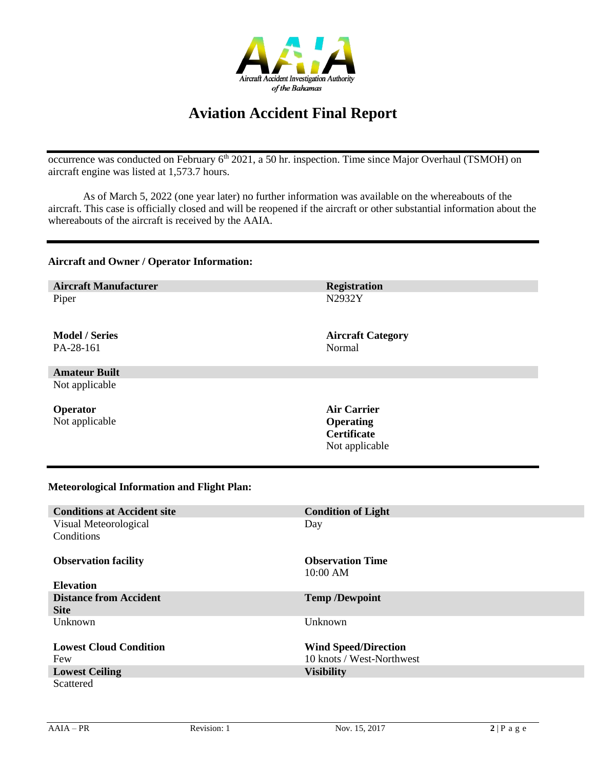

## **Aviation Accident Final Report**

occurrence was conducted on February 6<sup>th</sup> 2021, a 50 hr. inspection. Time since Major Overhaul (TSMOH) on aircraft engine was listed at 1,573.7 hours.

As of March 5, 2022 (one year later) no further information was available on the whereabouts of the aircraft. This case is officially closed and will be reopened if the aircraft or other substantial information about the whereabouts of the aircraft is received by the AAIA.

#### **Aircraft and Owner / Operator Information:**

**Aircraft Manufacturer Registration** Piper

**Model / Series** PA-28-161

**Amateur Built** Not applicable

**Operator** Not applicable N2932Y

**Aircraft Category** Normal

**Air Carrier Operating Certificate** Not applicable

## **Meteorological Information and Flight Plan:**

| <b>Conditions at Accident site</b> | <b>Condition of Light</b>   |
|------------------------------------|-----------------------------|
| Visual Meteorological              | Day                         |
| Conditions                         |                             |
|                                    |                             |
| <b>Observation facility</b>        | <b>Observation Time</b>     |
|                                    |                             |
|                                    | 10:00 AM                    |
| <b>Elevation</b>                   |                             |
| <b>Distance from Accident</b>      | <b>Temp /Dewpoint</b>       |
| <b>Site</b>                        |                             |
| Unknown                            | Unknown                     |
|                                    |                             |
| <b>Lowest Cloud Condition</b>      | <b>Wind Speed/Direction</b> |
| Few                                | 10 knots / West-Northwest   |
|                                    |                             |
| <b>Lowest Ceiling</b>              | <b>Visibility</b>           |
| Scattered                          |                             |